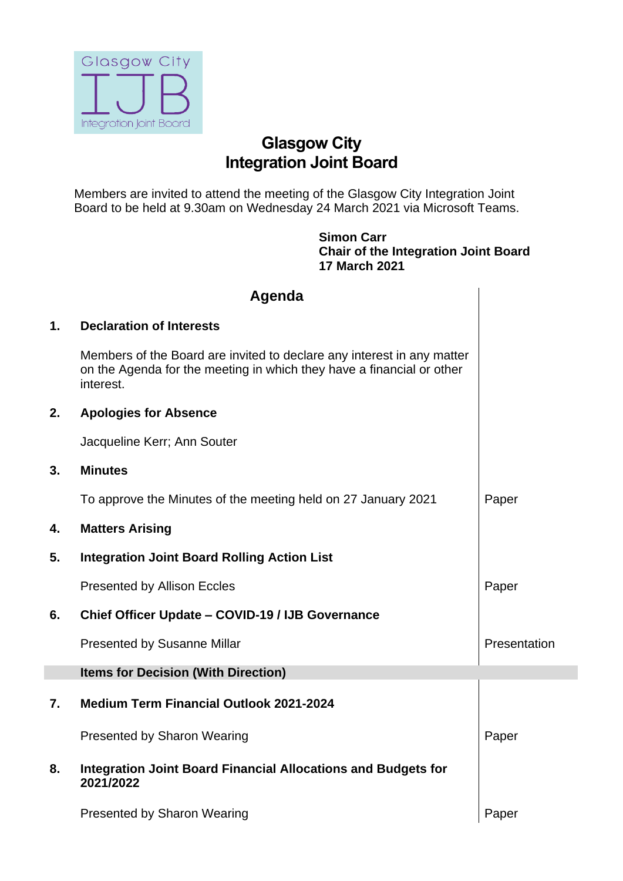

## **Glasgow City Integration Joint Board**

Members are invited to attend the meeting of the Glasgow City Integration Joint Board to be held at 9.30am on Wednesday 24 March 2021 via Microsoft Teams.

> **Simon Carr Chair of the Integration Joint Board 17 March 2021**

|    | Agenda                                                                                                                                                       |              |
|----|--------------------------------------------------------------------------------------------------------------------------------------------------------------|--------------|
| 1. | <b>Declaration of Interests</b>                                                                                                                              |              |
|    | Members of the Board are invited to declare any interest in any matter<br>on the Agenda for the meeting in which they have a financial or other<br>interest. |              |
| 2. | <b>Apologies for Absence</b>                                                                                                                                 |              |
|    | Jacqueline Kerr; Ann Souter                                                                                                                                  |              |
| 3. | <b>Minutes</b>                                                                                                                                               |              |
|    | To approve the Minutes of the meeting held on 27 January 2021                                                                                                | Paper        |
| 4. | <b>Matters Arising</b>                                                                                                                                       |              |
| 5. | <b>Integration Joint Board Rolling Action List</b>                                                                                                           |              |
|    | <b>Presented by Allison Eccles</b>                                                                                                                           | Paper        |
| 6. | <b>Chief Officer Update - COVID-19 / IJB Governance</b>                                                                                                      |              |
|    | <b>Presented by Susanne Millar</b>                                                                                                                           | Presentation |
|    | <b>Items for Decision (With Direction)</b>                                                                                                                   |              |
| 7. | <b>Medium Term Financial Outlook 2021-2024</b>                                                                                                               |              |
|    | <b>Presented by Sharon Wearing</b>                                                                                                                           | Paper        |
| 8. | <b>Integration Joint Board Financial Allocations and Budgets for</b><br>2021/2022                                                                            |              |
|    | <b>Presented by Sharon Wearing</b>                                                                                                                           | Paper        |